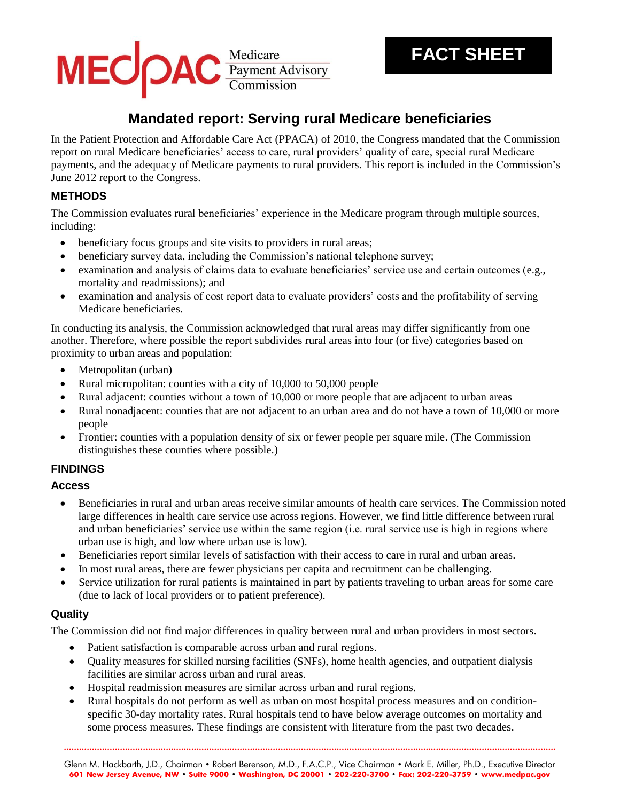# MEC PAC Payment Advisory

# **Mandated report: Serving rural Medicare beneficiaries**

In the Patient Protection and Affordable Care Act (PPACA) of 2010, the Congress mandated that the Commission report on rural Medicare beneficiaries' access to care, rural providers' quality of care, special rural Medicare payments, and the adequacy of Medicare payments to rural providers. This report is included in the Commission's June 2012 report to the Congress.

# **METHODS**

The Commission evaluates rural beneficiaries' experience in the Medicare program through multiple sources, including:

- beneficiary focus groups and site visits to providers in rural areas;
- beneficiary survey data, including the Commission's national telephone survey;
- examination and analysis of claims data to evaluate beneficiaries' service use and certain outcomes (e.g., mortality and readmissions); and
- examination and analysis of cost report data to evaluate providers' costs and the profitability of serving Medicare beneficiaries.

In conducting its analysis, the Commission acknowledged that rural areas may differ significantly from one another. Therefore, where possible the report subdivides rural areas into four (or five) categories based on proximity to urban areas and population:

- Metropolitan (urban)
- Rural micropolitan: counties with a city of 10,000 to 50,000 people
- Rural adjacent: counties without a town of 10,000 or more people that are adjacent to urban areas
- Rural nonadjacent: counties that are not adjacent to an urban area and do not have a town of 10,000 or more people
- Frontier: counties with a population density of six or fewer people per square mile. (The Commission distinguishes these counties where possible.)

# **FINDINGS**

#### **Access**

- Beneficiaries in rural and urban areas receive similar amounts of health care services. The Commission noted large differences in health care service use across regions. However, we find little difference between rural and urban beneficiaries' service use within the same region (i.e. rural service use is high in regions where urban use is high, and low where urban use is low).
- Beneficiaries report similar levels of satisfaction with their access to care in rural and urban areas.
- In most rural areas, there are fewer physicians per capita and recruitment can be challenging.
- Service utilization for rural patients is maintained in part by patients traveling to urban areas for some care (due to lack of local providers or to patient preference).

# **Quality**

The Commission did not find major differences in quality between rural and urban providers in most sectors.

- Patient satisfaction is comparable across urban and rural regions.
- Quality measures for skilled nursing facilities (SNFs), home health agencies, and outpatient dialysis facilities are similar across urban and rural areas.
- Hospital readmission measures are similar across urban and rural regions.
- Rural hospitals do not perform as well as urban on most hospital process measures and on conditionspecific 30-day mortality rates. Rural hospitals tend to have below average outcomes on mortality and some process measures. These findings are consistent with literature from the past two decades.

**.................................................................................................................................................................................................** Glenn M. Hackbarth, J.D., Chairman • Robert Berenson, M.D., F.A.C.P., Vice Chairman • Mark E. Miller, Ph.D., Executive Director **601 New Jersey Avenue, NW • Suite 9000 • Washington, DC 20001 • 202-220-3700 • Fax: 202-220-3759 • www.medpac.gov**